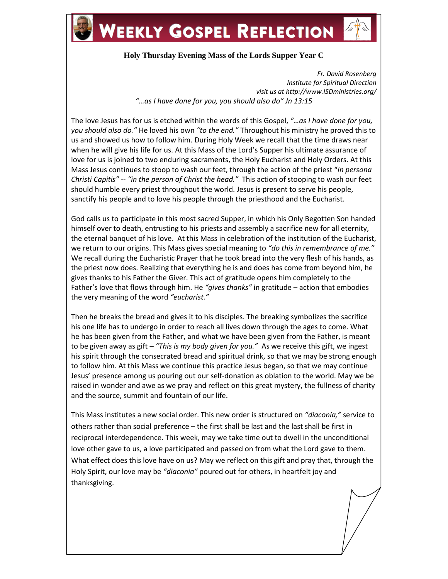

## **WEEKLY GOSPEL REFLECTION**



*Fr. David Rosenberg Institute for Spiritual Direction visit us at http://www.ISDministries.org/ "…as I have done for you, you should also do" Jn 13:15*

The love Jesus has for us is etched within the words of this Gospel, *"…as I have done for you, you should also do."* He loved his own *"to the end."* Throughout his ministry he proved this to us and showed us how to follow him. During Holy Week we recall that the time draws near when he will give his life for us. At this Mass of the Lord's Supper his ultimate assurance of love for us is joined to two enduring sacraments, the Holy Eucharist and Holy Orders. At this Mass Jesus continues to stoop to wash our feet, through the action of the priest "*in persona Christi Capitis"* -- *"in the person of Christ the head."* This action of stooping to wash our feet should humble every priest throughout the world. Jesus is present to serve his people, sanctify his people and to love his people through the priesthood and the Eucharist.

God calls us to participate in this most sacred Supper, in which his Only Begotten Son handed himself over to death, entrusting to his priests and assembly a sacrifice new for all eternity, the eternal banquet of his love. At this Mass in celebration of the institution of the Eucharist, we return to our origins. This Mass gives special meaning to *"do this in remembrance of me."* We recall during the Eucharistic Prayer that he took bread into the very flesh of his hands, as the priest now does. Realizing that everything he is and does has come from beyond him, he gives thanks to his Father the Giver. This act of gratitude opens him completely to the Father's love that flows through him. He *"gives thanks"* in gratitude – action that embodies the very meaning of the word *"eucharist."*

Then he breaks the bread and gives it to his disciples. The breaking symbolizes the sacrifice his one life has to undergo in order to reach all lives down through the ages to come. What he has been given from the Father, and what we have been given from the Father, is meant to be given away as gift – *"This is my body given for you."* As we receive this gift, we ingest his spirit through the consecrated bread and spiritual drink, so that we may be strong enough to follow him. At this Mass we continue this practice Jesus began, so that we may continue Jesus' presence among us pouring out our self-donation as oblation to the world. May we be raised in wonder and awe as we pray and reflect on this great mystery, the fullness of charity and the source, summit and fountain of our life.

This Mass institutes a new social order. This new order is structured on *"diaconia,"* service to others rather than social preference – the first shall be last and the last shall be first in reciprocal interdependence. This week, may we take time out to dwell in the unconditional love other gave to us, a love participated and passed on from what the Lord gave to them. What effect does this love have on us? May we reflect on this gift and pray that, through the Holy Spirit, our love may be *"diaconia"* poured out for others, in heartfelt joy and thanksgiving.